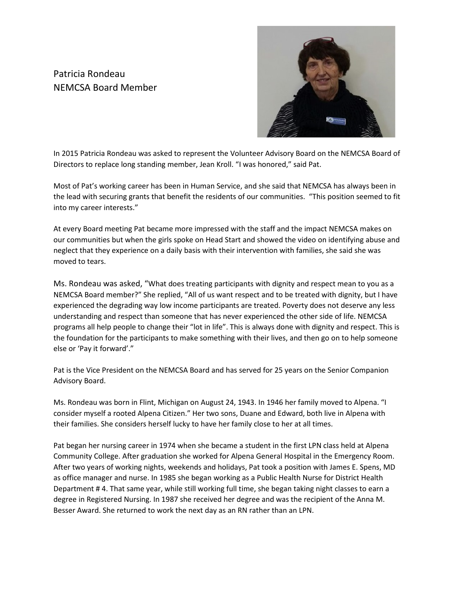## Patricia Rondeau NEMCSA Board Member



In 2015 Patricia Rondeau was asked to represent the Volunteer Advisory Board on the NEMCSA Board of Directors to replace long standing member, Jean Kroll. "I was honored," said Pat.

Most of Pat's working career has been in Human Service, and she said that NEMCSA has always been in the lead with securing grants that benefit the residents of our communities. "This position seemed to fit into my career interests."

At every Board meeting Pat became more impressed with the staff and the impact NEMCSA makes on our communities but when the girls spoke on Head Start and showed the video on identifying abuse and neglect that they experience on a daily basis with their intervention with families, she said she was moved to tears.

Ms. Rondeau was asked, "What does treating participants with dignity and respect mean to you as a NEMCSA Board member?" She replied, "All of us want respect and to be treated with dignity, but I have experienced the degrading way low income participants are treated. Poverty does not deserve any less understanding and respect than someone that has never experienced the other side of life. NEMCSA programs all help people to change their "lot in life". This is always done with dignity and respect. This is the foundation for the participants to make something with their lives, and then go on to help someone else or 'Pay it forward'."

Pat is the Vice President on the NEMCSA Board and has served for 25 years on the Senior Companion Advisory Board.

Ms. Rondeau was born in Flint, Michigan on August 24, 1943. In 1946 her family moved to Alpena. "I consider myself a rooted Alpena Citizen." Her two sons, Duane and Edward, both live in Alpena with their families. She considers herself lucky to have her family close to her at all times.

Pat began her nursing career in 1974 when she became a student in the first LPN class held at Alpena Community College. After graduation she worked for Alpena General Hospital in the Emergency Room. After two years of working nights, weekends and holidays, Pat took a position with James E. Spens, MD as office manager and nurse. In 1985 she began working as a Public Health Nurse for District Health Department # 4. That same year, while still working full time, she began taking night classes to earn a degree in Registered Nursing. In 1987 she received her degree and was the recipient of the Anna M. Besser Award. She returned to work the next day as an RN rather than an LPN.